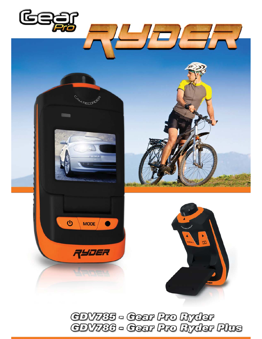

CDV785 - Cear Pro Ryder<br>CDV786 - Cear Pro Ryder Plus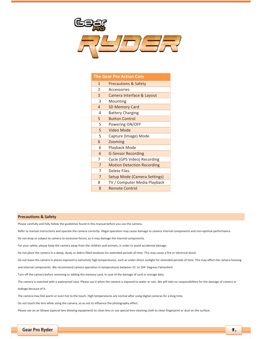

| <b>The Gear Pro Action Cam</b> |                                     |  |
|--------------------------------|-------------------------------------|--|
| 1                              | <b>Precautions &amp; Safety</b>     |  |
| $\mathfrak{p}$                 | Accessories                         |  |
| 3                              | Camera Interface & Layout           |  |
| 3                              | Mounting                            |  |
| $\overline{4}$                 | <b>SD Memory Card</b>               |  |
| 4                              | <b>Battery Charging</b>             |  |
| 5                              | <b>Button Control</b>               |  |
| 5                              | Powering ON/OFF                     |  |
| 5                              | Video Mode                          |  |
| 5                              | Capture (Image) Mode                |  |
| 6                              | Zooming                             |  |
| 6                              | Playback Mode                       |  |
| 6                              | <b>G-Sensor Recording</b>           |  |
| 7                              | Cycle (GPS Video) Recording         |  |
| $\overline{7}$                 | <b>Motion Detection Recording</b>   |  |
| 7                              | Delete Files                        |  |
| $\overline{7}$                 | <b>Setup Mode (Camera Settings)</b> |  |
| 8                              | TV / Computer Media Playback        |  |
| 8                              | <b>Remote Control</b>               |  |
|                                |                                     |  |

#### **Precautions & Safety**

Please carefully and fully follow the guidelines found in this manual before you use the camera.

Refer to manual instructions and operate the camera correctly. Illegal operation may cause damage to camera internal components and non-optimal performance.

Do not drop or subject to camera to excessive forces, as it may damage the internal components.

For your safety, please keep the camera away from the children and animals, in order to avoid accidental damage.

Do not place the camera in a damp, dusty or debris filled locations for extended periods of time. This may cause a fire or electrical shock.

Do not leave the camera in places exposed to extremely high temperatures, such as under direct sunlight for extended periods of time. This may affect the camera housing

and internal components. We recommend camera operation in temperatures between 32 to 104 Degrees Fahrenheit.

Turn off the camera before removing or adding the memory card, in case of the damage of card or storage data.

The camera is matched with a waterproof case. Please use it when the camera is exposed to water or rain. We will take no responsibilities for the damage of camera or leakage because of it.

The camera may feel warm or even hot to the touch. High temperatures are normal after using digital cameras for a long time.

Do not touch the lens while using the camera, so as not to influence the photography effect.

Please use an air blower (special lens blowing equipment) to clean lens or use special lens-cleaning cloth to clean fingerprint or dust on the surface.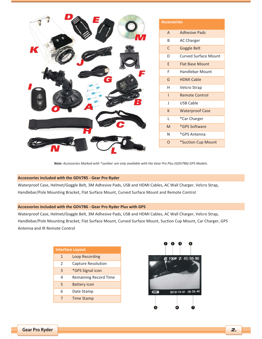|   | <b>Accessories</b>                                                                                         |                             |
|---|------------------------------------------------------------------------------------------------------------|-----------------------------|
|   | $\overline{A}$                                                                                             | <b>Adhesive Pads</b>        |
|   | $\sf B$                                                                                                    | AC Charger                  |
| K | $\mathsf C$                                                                                                | Goggle Belt                 |
|   | D                                                                                                          | <b>Curved Surface Mount</b> |
|   | E                                                                                                          | <b>Flat Base Mount</b>      |
|   | F                                                                                                          | Handlebar Mount             |
| Ġ | G                                                                                                          | <b>HDMI Cable</b>           |
|   | H                                                                                                          | Velcro Strap                |
|   |                                                                                                            | <b>Remote Control</b>       |
|   | J                                                                                                          | <b>USB Cable</b>            |
|   | $\mathsf{K}$                                                                                               | <b>Waterproof Case</b>      |
|   | L                                                                                                          | *Car Charger                |
|   | $\mathsf{M}% _{T}=\mathsf{M}_{T}\!\left( a,b\right) ,\ \mathsf{M}_{T}=\mathsf{M}_{T}\!\left( a,b\right) ,$ | *GPS Software               |
|   | $\mathsf{N}$                                                                                               | *GPS Antenna                |
|   | $\mathsf O$                                                                                                | *Suction Cup Mount          |
|   |                                                                                                            |                             |

Note: Accessories Marked with \*symbol are only available with the Gear Pro Plus (GDV786) GPS Models.

## **Accessories included with the GDV785 - Gear Pro Ryder**

Waterproof Case, Helmet/Goggle Belt, 3M Adhesive Pads, USB and HDMI Cables, AC Wall Charger, Velcro Strap, Handlebar/Pole Mounting Bracket, Flat Surface Mount, Curved Surface Mount and Remote Control

### **Accessories included with the GDV786 - Gear Pro Ryder Plus with GPS**

Waterproof Case, Helmet/Goggle Belt, 3M Adhesive Pads, USB and HDMI Cables, AC Wall Charger, Velcro Strap, Handlebar/Pole Mounting Bracket, Flat Surface Mount, Curved Surface Mount, Suction Cup Mount, Car Charger, GPS Antenna and IR Remote Control

| <b>Interface Layout</b>      |
|------------------------------|
| <b>Loop Recording</b>        |
| <b>Capture Resolution</b>    |
| *GPS Signal icon             |
| <b>Remaining Record Time</b> |
| <b>Battery icon</b>          |
| Date Stamp                   |
| <b>Time Stamp</b>            |
|                              |

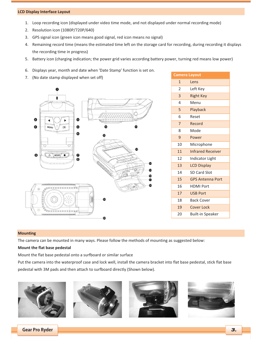# **LCD-Display-Interface-Layout**

- 1. Loop recording icon (displayed under video time mode, and not displayed under normal recording mode)
- 2. Resolution icon (1080P/720P/640)
- 3. GPS signal icon (green icon means good signal, red icon means no signal)
- 4. Remaining record time (means the estimated time left on the storage card for recording, during recording it displays the recording time in progress)
- 5. Battery icon (charging indication; the power grid varies according battery power, turning red means low power)
- 6. Displays year, month and date when 'Date Stamp' function is set on.
- 7. (No date stamp displayed when set off)



| <b>Camera Layout</b> |                          |
|----------------------|--------------------------|
| 1                    | Lens                     |
| $\mathfrak{D}$       | Left Key                 |
| $\overline{3}$       | <b>Right Key</b>         |
| 4                    | Menu                     |
| 5                    | Playback                 |
| 6                    | Reset                    |
| $\overline{7}$       | Record                   |
| 8                    | Mode                     |
| 9                    | Power                    |
| 10                   | Microphone               |
| 11                   | <b>Infrared Receiver</b> |
| 12                   | Indicator Light          |
| 13                   | <b>LCD Display</b>       |
| 14                   | <b>SD Card Slot</b>      |
| 15                   | <b>GPS Antenna Port</b>  |
| 16                   | <b>HDMI Port</b>         |
| 17                   | <b>USB Port</b>          |
| 18                   | <b>Back Cover</b>        |
| 19                   | <b>Cover Lock</b>        |
| 20                   | <b>Built-in Speaker</b>  |
|                      |                          |

#### **Mounting-**

The camera can be mounted in many ways. Please follow the methods of mounting as suggested below:

#### **Mount the flat base pedestal**

Mount the flat base pedestal onto a surfboard or similar surface

Put the camera into the waterproof case and lock well, install the camera bracket into flat base pedestal, stick flat base pedestal with 3M pads and then attach to surfboard directly (Shown below).





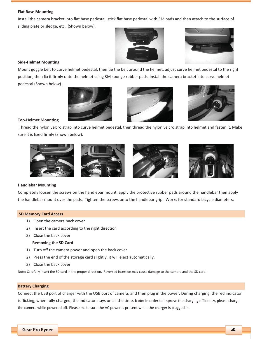# **Flat-Base-Mounting**

Install the camera bracket into flat base pedestal, stick flat base pedestal with 3M pads and then attach to the surface of sliding plate or sledge, etc. (Shown below).





# **Side-Helmet Mounting**

Mount goggle belt to curve helmet pedestal, then tie the belt around the helmet, adjust curve helmet pedestal to the right position, then fix it firmly onto the helmet using 3M sponge rubber pads, install the camera bracket into curve helmet pedestal (Shown below).







# **Top-Helmet Mounting**

Thread the nylon velcro strap into curve helmet pedestal, then thread the nylon velcro strap into helmet and fasten it. Make sure it is fixed firmly (Shown below).



## **Handlebar-Mounting**

Completely loosen the screws on the handlebar mount, apply the protective rubber pads around the handlebar then apply the handlebar mount over the pads. Tighten the screws onto the handlebar grip. Works for standard bicycle diameters.

## **SD Memory Card Access**

- 1) Open the camera back cover
- 2) Insert the card according to the right direction
- 3) Close the back cover

### **Removing the SD Card**

- 1) Turn off the camera power and open the back cover.
- 2) Press the end of the storage card slightly, it will eject automatically.
- 3) Close the back cover

Note: Carefully insert the SD card in the proper direction. Reversed insertion may cause damage to the camera and the SD card.

### **Battery Charging**

Connect the USB port of charger with the USB port of camera, and then plug in the power. During charging, the red indicator is flicking, when fully charged, the indicator stays on all the time. Note: In order to improve the charging efficiency, please charge the camera while powered off. Please make sure the AC power is present when the charger is plugged in.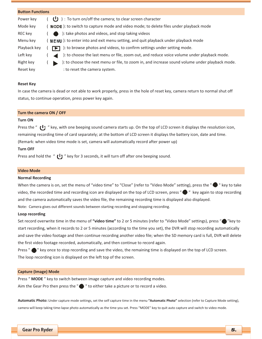| <b>Button Functions</b> |                                                                                                   |
|-------------------------|---------------------------------------------------------------------------------------------------|
| Power key               | $\bigcup$ ) : To turn on/off the camera; to clear screen character                                |
| Mode key                | MODE): to switch to capture mode and video mode; to delete files under playback mode              |
| REC key                 | ): take photos and videos, and stop taking videos                                                 |
| Menu key                | $\overline{M}$ MENU ): to enter into and exit menu setting, and quit playback under playback mode |
| Playback key            | ): to browse photos and videos, to confirm settings under setting mode.                           |
| Left key                | ): to choose the last menu or file, zoom out, and reduce voice volume under playback mode.        |
| Right key               | ): to choose the next menu or file, to zoom in, and increase sound volume under playback mode.    |
| Reset key               | : to reset the camera system.                                                                     |

### **Reset Key**

In case the camera is dead or not able to work properly, press in the hole of reset key, camera return to normal shut off status, to continue operation, press power key again.

#### **Turn the camera ON / OFF**

#### **Turn-ON-**

Press the " (I) " key, with one beeping sound camera starts up. On the top of LCD screen it displays the resolution icon, remaining recording time of card separately; at the bottom of LCD screen it displays the battery icon, date and time. (Remark: when video time mode is set, camera will automatically record after power up)

### **Turn-OFF-**

Press and hold the "  $\bigcup$  " key for 3 seconds, it will turn off after one beeping sound.

### **Video-Mode**

### **Normal Recording**

When the camera is on, set the menu of "video time" to "Close" (refer to "Video Mode" setting), press the "  $\bullet$  " key to take video, the recorded time and recording icon are displayed on the top of LCD screen, press " $\bullet$ " key again to stop recording and the camera automatically saves the video file, the remaining recording time is displayed also displayed. Note: Camera gives out different sounds between starting recording and stopping recording.

#### Loop recording

Set record overwrite time in the menu of **"video time"** to 2 or 5 minutes (refer to "Video Mode" settings), press " $\bullet$  "key to start recording, when it records to 2 or 5 minutes (according to the time you set), the DVR will stop recording automatically and save the video footage and then continue recording another video file; when the SD memory card is full, DVR will delete the first video footage recorded, automatically, and then continue to record again.

Press "  $\bigcirc$  " key once to stop recording and save the video, the remaining time is displayed on the top of LCD screen. The loop recording icon is displayed on the left top of the screen.

#### **Capture (Image) Mode**

Press "MODE" key to switch between image capture and video recording modes. Aim the Gear Pro then press the " $\bigcirc$ " to either take a picture or to record a video.

Automatic Photo: Under capture mode settings, set the self capture time in the menu "Automatic Photo" selection (refer to Capture Mode setting), camera will keep taking time-lapse photo automatically as the time you set. Press "MODE" key to quit auto capture and switch to video mode.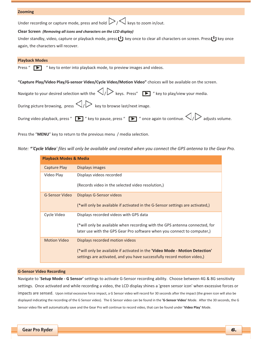### **Zooming-**

Under recording or capture mode, press and hold  $\nu \sim \nu$  keys to zoom in/out.

## **Clear-Screen--***(Removing-all-icons-and-characters-on-the-LCD-display)*

|                                     | Under standby, video, capture or playback mode, press $\bigcup$ key once to clear all characters on screen. Press $\bigcup$ key once |
|-------------------------------------|--------------------------------------------------------------------------------------------------------------------------------------|
| again, the characters will recover. |                                                                                                                                      |

#### **Playback-Modes-**

Press " $\blacktriangleright$  " key to enter into playback mode, to preview images and videos.

"Capture Play/Video Play/G-sensor Video/Cycle Video/Motion Video" choices will be available on the screen.

| Navigate to your desired selection with the $\langle \rangle$ keys. Press" $\Box$ "key to play/view your media.                                                             |  |
|-----------------------------------------------------------------------------------------------------------------------------------------------------------------------------|--|
| During picture browsing, press $\langle \rangle$ $\gg$ key to browse last/next image.                                                                                       |  |
| During video playback, press " $\blacktriangleright$ " key to pause, press " $\blacktriangleright$ " once again to continue. $\triangle$ / $\triangleright$ adjusts volume. |  |

Press the "MENU" key to return to the previous menu / media selection.

Note: \*'Cycle Video' files will only be available and created when you connect the GPS antenna to the Gear Pro.

| <b>Playback Modes &amp; Media</b> |                                                                                |
|-----------------------------------|--------------------------------------------------------------------------------|
| Capture Play                      | Displays images                                                                |
| Video Play                        | Displays videos recorded                                                       |
|                                   | (Records video in the selected video resolution.)                              |
| G-Sensor Video                    | Displays G-Sensor videos                                                       |
|                                   | (*will only be available if activated in the G-Sensor settings are activated,) |
| Cycle Video                       | Displays recorded videos with GPS data                                         |
|                                   | (*will only be available when recording with the GPS antenna connected, for    |
|                                   | later use with the GPS Gear Pro software when you connect to computer,)        |
| <b>Motion Video</b>               | Displays recorded motion videos                                                |
|                                   | (*will only be available if activated in the 'Video Mode - Motion Detection'   |
|                                   | settings are activated, and you have successfully record motion video,)        |

#### **G-Sensor Video Recording**

Navigate to 'Setup Mode - G Sensor' settings to activate G-Sensor recording ability. Choose between 4G & 8G sensitivity settings. Once activated and while recording a video, the LCD display shines a 'green sensor icon' when excessive forces or impacts are sensed. Upon initial excessive force impact, a G Sensor video will record for 30 seconds after the impact (the green icon will also be displayed indicating the recording of the G Sensor video). The G Sensor video can be found in the 'G-Sensor Video' Mode. After the 30 seconds, the G Sensor video file will automatically save and the Gear Pro will continue to record video, that can be found under 'Video Play' Mode.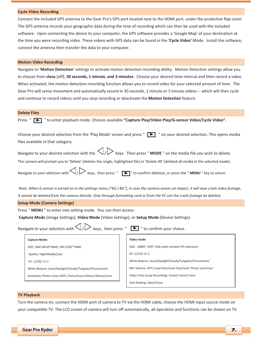#### **Cycle Video Recording**

Connect the included GPS antenna to the Gear Pro's GPS port located next to the HDMI port, under the protective flap cover. The GPS antenna records your geographic data during the time of recording which can then be used with the included software. Upon connecting the device to your computer, the GPS software provides a 'Google Map' of your destination at the time you were recording video. These videos with GPS data can be found in the 'Cycle Video' Mode. Install the software, connect the antenna then transfer the data to your computer.

### **Motion Video Recording**

Navigate to 'Motion Detection' settings to activate motion detection recording ability. Motion Detection settings allow you to choose from close (off), 30 seconds, 1 minute, and 3 minutes. Choose your desired time interval and then record a video. When activated, the motion detection recording function allows you to record video for your selected amount of time. The Gear Pro will sense movement and automatically record in 30 seconds, 1 minute or 3 minute videos -- which will then cycle and continue to record videos until you stop recording or deactivate the Motion Detection feature.

#### **Delete Files**

Press "  $\blacktriangleright$  " to enter playback mode. Choices available "Capture Play/Video Play/G-sensor Video/Cycle Video".

| Choose your desired selection from the 'Play Mode' screen and press $\mathbb{F}$ $\mathbb{F}$ " on your desired selection. This opens media |  |
|---------------------------------------------------------------------------------------------------------------------------------------------|--|
| files available in that category.                                                                                                           |  |

Navigate to your desired selection with the  $\bigvee/\bigvee$  keys. Then press " **MODE** " on the media file you wish to delete.

The camera will prompt you to 'Delete' (deletes the single, highlighted file) or 'Delete All' (deleted all media in the selected mode).

Navigate to your selection with  $\bigvee/\bigvee$  keys, then press " $\blacksquare$ " to confirm deletion, or press the "**MENU** " key to return.

Note: When G-sensor is turned on in the settings menu ("4G / 8G"), in case the camera senses an impact, it will save crash video footage, it cannot be deleted from the camera directly. Only through formatting card or from the PC can the crash footage be deleted.

"-

#### **Setup Mode (Camera Settings)**

Press " MENU" to enter into setting mode. You can then access:

 $\sim$ 

Capture Mode (Image Settings), Video Mode (Video Settings), or Setup Mode (Device Settings).

|  | Navigate to your selection with $\triangle$ / $\triangleright$ keys, then press |  |  |  |  |  |
|--|---------------------------------------------------------------------------------|--|--|--|--|--|
|--|---------------------------------------------------------------------------------|--|--|--|--|--|

 $\Box$  " to confirm your choice.

#### Capture Mode:

SIZE: 16M (4618\*3464), 5M (2592\*1944)

Quality: High/Middle/Low

EV: 1/2/0/-1/-2

White Balance: Auto/Daylight/Cloudy/Tungsten/Fluorescent/

Automatic Photos Close (OFF) /3secs/5secs/10secs/30secs/1min

### **Video-mode-**

SIZE: 1080P, 720P, VGA (with variable FPS selection)

EV: 1/2/0/-1/-2

White Balance: Auto/Daylight/Cloudy/Tungsten/Fluorescent/

MIC Volume: OFF/ Level One/Level Two/Level Three/ Level Four

Video Time (Loop Recording): Close/2 mins/5 mins

Anti-Shaking: Open/Close

#### **TV Playback**

Turn the camera on, connect the HDMI port of camera to TV via the HDMI cable, choose the HDMI input source mode on your compatible TV. The LCD screen of camera will turn off automatically, all operation and functions can be shown on TV.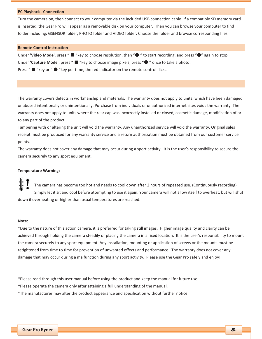#### **PC-Playback--Connection-**

Turn the camera on, then connect to your computer via the included USB connection cable. If a compatible SD memory card is inserted, the Gear Pro will appear as a removable disk on your computer. Then you can browse your computer to find folder including: GSENSOR folder, PHOTO folder and VIDEO folder. Choose the folder and browse corresponding files.

#### **Remote Control Instruction**

Under 'Video Mode', press " " "key to choose resolution, then " . " to start recording, and press " . " again to stop. Under 'Capture Mode', press " " "key to choose image pixels, press "<sup>o</sup> " once to take a photo. Press " $\blacksquare$  "key or " $\lozenge$  "key per time, the red indicator on the remote control flicks.

The warranty covers defects in workmanship and materials. The warranty does not apply to units, which have been damaged or abused intentionally or unintentionally. Purchase from individuals or unauthorized internet sites voids the warranty. The warranty does not apply to units where the rear cap was incorrectly installed or closed, cosmetic damage, modification of or to any part of the product.

Tampering with or altering the unit will void the warranty. Any unauthorized service will void the warranty. Original sales receipt must be produced for any warranty service and a return authorization must be obtained from our customer service points.

The warranty does not cover any damage that may occur during a sport activity. It is the user's responsibility to secure the camera securely to any sport equipment.

#### **Temperature Warning:**

The camera has become too hot and needs to cool down after 2 hours of repeated use. (Continuously recording). Simply let it sit and cool before attempting to use it again. Your camera will not allow itself to overheat, but will shut down if overheating or higher than usual temperatures are reached.

#### Note:

\*Due to the nature of this action camera, it is preferred for taking still images. Higher image quality and clarity can be achieved through holding the camera steadily or placing the camera in a fixed location. It is the user's responsibility to mount the camera securely to any sport equipment. Any installation, mounting or application of screws or the mounts must be retightened from time to time for prevention of unwanted effects and performance. The warranty does not cover any damage that may occur during a malfunction during any sport activity. Please use the Gear Pro safely and enjoy!

\*Please read through this user manual before using the product and keep the manual for future use.

\*Please operate the camera only after attaining a full understanding of the manual.

\*The manufacturer may alter the product appearance and specification without further notice.